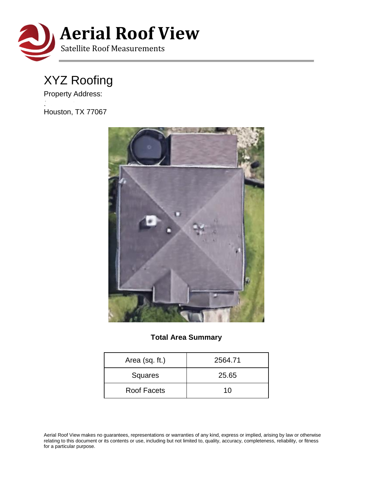

## XYZ Roofing

Property Address:

Houston, TX 77067

11650 Garden View Dr



## **Total Area Summary**

| Area (sq. ft.) | 2564.71 |  |  |
|----------------|---------|--|--|
| Squares        | 25.65   |  |  |
| Roof Facets    | 10      |  |  |

Aerial Roof View makes no guarantees, representations or warranties of any kind, express or implied, arising by law or otherwise relating to this document or its contents or use, including but not limited to, quality, accuracy, completeness, reliability, or fitness for a particular purpose.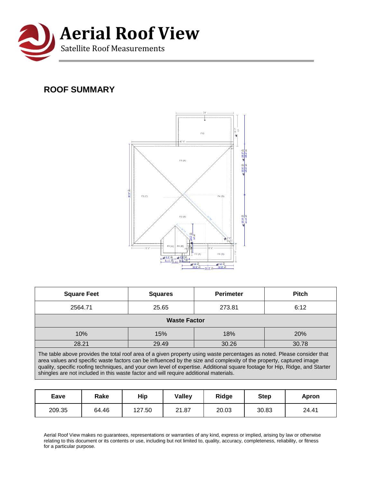

## **ROOF SUMMARY**



| <b>Square Feet</b>                                                                                                                                                                                                                                                                                                                                                                                                                                                      | <b>Squares</b> | <b>Perimeter</b> | <b>Pitch</b> |  |  |
|-------------------------------------------------------------------------------------------------------------------------------------------------------------------------------------------------------------------------------------------------------------------------------------------------------------------------------------------------------------------------------------------------------------------------------------------------------------------------|----------------|------------------|--------------|--|--|
| 2564.71                                                                                                                                                                                                                                                                                                                                                                                                                                                                 | 25.65          | 273.81           | 6:12         |  |  |
| <b>Waste Factor</b>                                                                                                                                                                                                                                                                                                                                                                                                                                                     |                |                  |              |  |  |
| 10%                                                                                                                                                                                                                                                                                                                                                                                                                                                                     | 15%            | 18%              | 20%          |  |  |
| 28.21                                                                                                                                                                                                                                                                                                                                                                                                                                                                   | 29.49          | 30.26            | 30.78        |  |  |
| The table above provides the total roof area of a given property using waste percentages as noted. Please consider that<br>area values and specific waste factors can be influenced by the size and complexity of the property, captured image<br>quality, specific roofing techniques, and your own level of expertise. Additional square footage for Hip, Ridge, and Starter<br>shingles are not included in this waste factor and will require additional materials. |                |                  |              |  |  |

| Eave   | Rake  | Hip    | <b>Valley</b> | <b>Ridge</b> | <b>Step</b> | Apron |
|--------|-------|--------|---------------|--------------|-------------|-------|
| 209.35 | 64.46 | 127.50 | 21.87         | 20.03        | 30.83       | 24.41 |

Aerial Roof View makes no guarantees, representations or warranties of any kind, express or implied, arising by law or otherwise relating to this document or its contents or use, including but not limited to, quality, accuracy, completeness, reliability, or fitness for a particular purpose.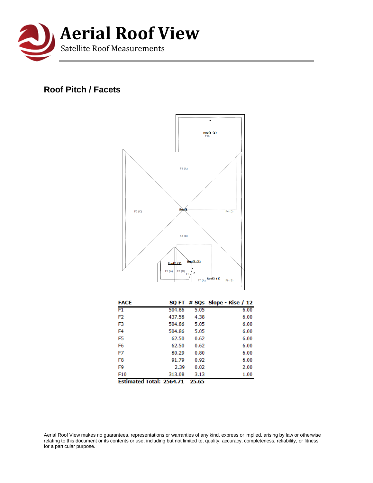

## **Roof Pitch / Facets**



| Ectimated Total: 3564.71 |        | <b>DE 65</b> |      |
|--------------------------|--------|--------------|------|
| F10                      | 313.08 | 3.13         | 1.00 |
| F9                       | 2.39   | 0.02         | 2.00 |
| F <sub>8</sub>           | 91.79  | 0.92         | 6.00 |
| F7                       | 80.29  | 0.80         | 6.00 |
| F6                       | 62.50  | 0.62         | 6.00 |
| F <sub>5</sub>           | 62.50  | 0.62         | 6.00 |
| F <sub>4</sub>           | 504.86 | 5.05         | 6.00 |
| F3                       | 504.86 | 5.05         | 6.00 |
| F2                       | 437.58 | 4.38         | 6.00 |
|                          |        |              |      |

**Estimated Total: 2564.71 25.65** 

Aerial Roof View makes no guarantees, representations or warranties of any kind, express or implied, arising by law or otherwise relating to this document or its contents or use, including but not limited to, quality, accuracy, completeness, reliability, or fitness for a particular purpose.